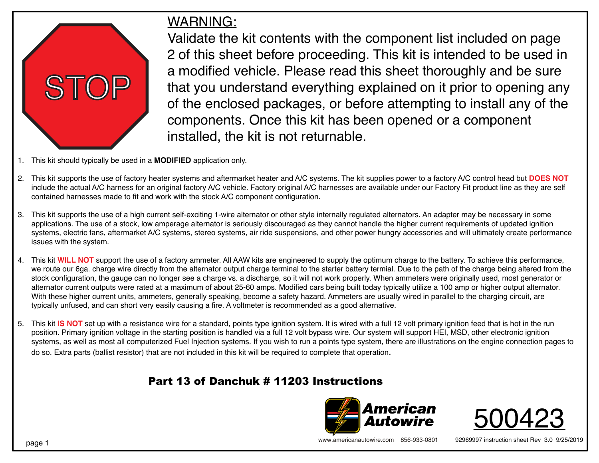

## WARNING:

Validate the kit contents with the component list included on page 2 of this sheet before proceeding. This kit is intended to be used in a modified vehicle. Please read this sheet thoroughly and be sure that you understand everything explained on it prior to opening any of the enclosed packages, or before attempting to install any of the components. Once this kit has been opened or a component installed, the kit is not returnable.

- 1. This kit should typically be used in a **MODIFIED** application only.
- 2. This kit supports the use of factory heater systems and aftermarket heater and A/C systems. The kit supplies power to a factory A/C control head but **DOES NOT** include the actual A/C harness for an original factory A/C vehicle. Factory original A/C harnesses are available under our Factory Fit product line as they are self contained harnesses made to fit and work with the stock A/C component configuration.
- 3. This kit supports the use of a high current self-exciting 1-wire alternator or other style internally regulated alternators. An adapter may be necessary in some applications. The use of a stock, low amperage alternator is seriously discouraged as they cannot handle the higher current requirements of updated ignition systems, electric fans, aftermarket A/C systems, stereo systems, air ride suspensions, and other power hungry accessories and will ultimately create performance issues with the system.
- 4. This kit **WILL NOT** support the use of a factory ammeter. All AAW kits are engineered to supply the optimum charge to the battery. To achieve this performance, we route our 6ga. charge wire directly from the alternator output charge terminal to the starter battery termial. Due to the path of the charge being altered from the stock configuration, the gauge can no longer see a charge vs. a discharge, so it will not work properly. When ammeters were originally used, most generator or alternator current outputs were rated at a maximum of about 25-60 amps. Modified cars being built today typically utilize a 100 amp or higher output alternator. With these higher current units, ammeters, generally speaking, become a safety hazard. Ammeters are usually wired in parallel to the charging circuit, are typically unfused, and can short very easily causing a fire. A voltmeter is recommended as a good alternative.
- 5. This kit **IS NOT** set up with a resistance wire for a standard, points type ignition system. It is wired with a full 12 volt primary ignition feed that is hot in the run position. Primary ignition voltage in the starting position is handled via a full 12 volt bypass wire. Our system will support HEI, MSD, other electronic ignition systems, as well as most all computerized Fuel Injection systems. If you wish to run a points type system, there are illustrations on the engine connection pages to do so. Extra parts (ballist resistor) that are not included in this kit will be required to complete that operation.

## Part 13 of Danchuk # 11203 Instructions





www.americanautowire.com 856-933-0801 92969997 instruction sheet Rev 3.0 9/25/2019